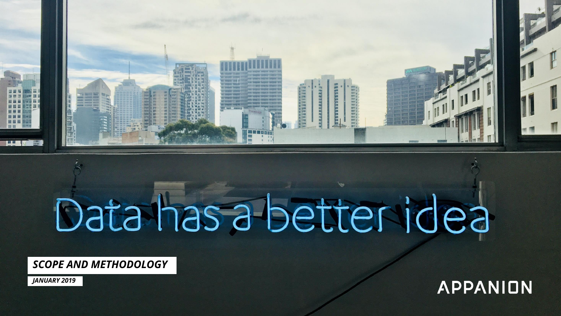

# Data has a better idea

*SCOPE AND METHODOLOGY*

*JANUARY 2019*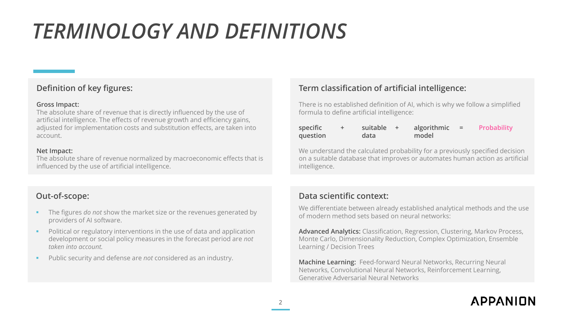# *TERMINOLOGY AND DEFINITIONS*

### **Definition of key figures:**

### **Gross Impact:**

The absolute share of revenue that is directly influenced by the use of artificial intelligence. The effects of revenue growth and efficiency gains, adjusted for implementation costs and substitution effects, are taken into account.

### **Net Impact:**

The absolute share of revenue normalized by macroeconomic effects that is influenced by the use of artificial intelligence.

### **Out-of-scope:**

- The figures *do not* show the market size or the revenues generated by providers of AI software.
- Political or regulatory interventions in the use of data and application development or social policy measures in the forecast period are *not taken into account.*
- Public security and defense are *not* considered as an industry.

### **Term classification of artificial intelligence:**

There is no established definition of AI, which is why we follow a simplified formula to define artificial intelligence:

| specific | suitable + | algorithmic $=$ | Probability |
|----------|------------|-----------------|-------------|
| question | data       | model           |             |

We understand the calculated probability for a previously specified decision on a suitable database that improves or automates human action as artificial intelligence.

### **Data scientific context:**

We differentiate between already established analytical methods and the use of modern method sets based on neural networks:

**Advanced Analytics:** Classification, Regression, Clustering, Markov Process, Monte Carlo, Dimensionality Reduction, Complex Optimization, Ensemble Learning / Decision Trees

**Machine Learning:** Feed-forward Neural Networks, Recurring Neural Networks, Convolutional Neural Networks, Reinforcement Learning, Generative Adversarial Neural Networks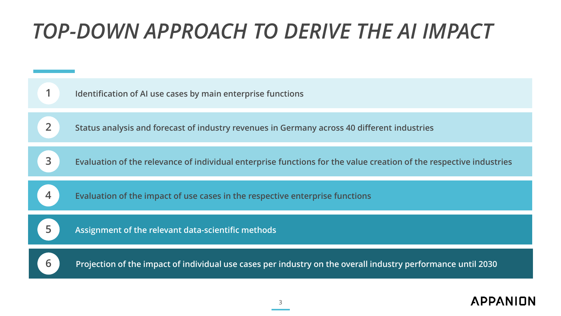# *TOP-DOWN APPROACH TO DERIVE THE AI IMPACT*

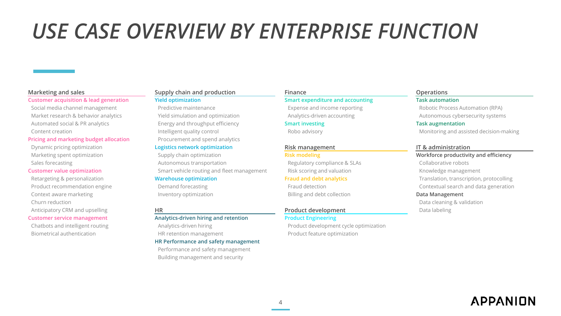# *USE CASE OVERVIEW BY ENTERPRISE FUNCTION*

### **Customer acquisition & lead generation Yield optimization Smart expenditure and accounting Task automation**

Social media channel management **Predictive maintenance Expense and income reporting Robotic Process Automation (RPA)** Market research & behavior analytics example of Yield simulation and optimization Analytics-driven accounting Autonomous cybersecurity systems Automated social & PR analytics Energy and throughput efficiency **Smart investing Task augmentation**

### **Pricing and marketing budget allocation** Procurement and spend analytics

Dynamic pricing optimization **Logistics network optimization Risk management IT & administration**

Context aware marketing **Inventory optimization** Inventory optimization Billing and debt collection **Data Management** Churn reduction Data cleaning & validation Anticipatory CRM and upselling **HR HR Product development** Data labeling

# **Marketing and sales Supply chain and production Finance Operations**

Sales forecasting Sales Toronomous transportation Autonomous transportation Regulatory compliance & SLAs Collaborative robots **Customer value optimization** Smart vehicle routing and fleet management Risk scoring and valuation Knowledge management

### **Customer service management Analytics-driven hiring and retention Product Engineering**

### **HR Performance and safety management**

Performance and safety management Building management and security

Chatbots and intelligent routing example and the Analytics-driven hiring example and product development cycle optimization Biometrical authentication HR retention management Product feature optimization

Content creation **Intelligent quality control** Robo advisory **Robo advisory** Monitoring and assisted decision-making

Marketing spent optimization **Supply chain optimization Risk modeling Risk modeling Workforce productivity and efficiency** Retargeting & personalization **Warehouse optimization Fraud and debt analytics** Translation, transcription, protocolling Product recommendation engine **Example 20** Demand forecasting Fraud detection **Contextual search and data generation**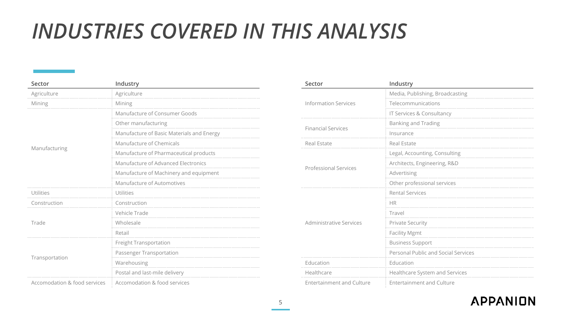# *INDUSTRIES COVERED IN THIS ANALYSIS*

| Sector                       | Industry                                  | Sector                                                                                                                                                                                                                                                                                                                                                                                                                                | Industry                    |
|------------------------------|-------------------------------------------|---------------------------------------------------------------------------------------------------------------------------------------------------------------------------------------------------------------------------------------------------------------------------------------------------------------------------------------------------------------------------------------------------------------------------------------|-----------------------------|
| Agriculture                  | Agriculture                               |                                                                                                                                                                                                                                                                                                                                                                                                                                       | Media, Publishing, Broadca  |
| Mining                       | Mining                                    | <b>Information Services</b>                                                                                                                                                                                                                                                                                                                                                                                                           | Telecommunications          |
|                              | Manufacture of Consumer Goods             |                                                                                                                                                                                                                                                                                                                                                                                                                                       | IT Services & Consultancy   |
|                              | Other manufacturing                       |                                                                                                                                                                                                                                                                                                                                                                                                                                       | <b>Banking and Trading</b>  |
|                              | Manufacture of Basic Materials and Energy |                                                                                                                                                                                                                                                                                                                                                                                                                                       | Insurance                   |
|                              | Manufacture of Chemicals                  | Real Estate                                                                                                                                                                                                                                                                                                                                                                                                                           | Real Estate                 |
| Manufacturing                | Manufacture of Pharmaceutical products    |                                                                                                                                                                                                                                                                                                                                                                                                                                       | Legal, Accounting, Consulti |
|                              | Manufacture of Advanced Electronics       |                                                                                                                                                                                                                                                                                                                                                                                                                                       | Architects, Engineering, R& |
|                              | Manufacture of Machinery and equipment    | <b>Financial Services</b><br><b>Professional Services</b><br>Advertising<br>Other professional services<br><b>Rental Services</b><br><b>HR</b><br>Travel<br>Administrative Services<br><b>Private Security</b><br><b>Facility Mgmt</b><br><b>Business Support</b><br>Personal Public and Social<br>Education<br>Education<br>Healthcare System and Ser<br>Healthcare<br><b>Entertainment and Culture</b><br>Entertainment and Culture |                             |
|                              | Manufacture of Automotives                |                                                                                                                                                                                                                                                                                                                                                                                                                                       |                             |
| Utilities                    | Utilities                                 |                                                                                                                                                                                                                                                                                                                                                                                                                                       |                             |
| Construction                 | Construction                              |                                                                                                                                                                                                                                                                                                                                                                                                                                       |                             |
|                              | Vehicle Trade                             |                                                                                                                                                                                                                                                                                                                                                                                                                                       |                             |
| Trade                        | Wholesale                                 |                                                                                                                                                                                                                                                                                                                                                                                                                                       |                             |
|                              | Retail                                    |                                                                                                                                                                                                                                                                                                                                                                                                                                       |                             |
|                              | Freight Transportation                    |                                                                                                                                                                                                                                                                                                                                                                                                                                       |                             |
|                              | Passenger Transportation                  |                                                                                                                                                                                                                                                                                                                                                                                                                                       |                             |
| Transportation               | Warehousing                               |                                                                                                                                                                                                                                                                                                                                                                                                                                       |                             |
|                              | Postal and last-mile delivery             |                                                                                                                                                                                                                                                                                                                                                                                                                                       |                             |
| Accomodation & food services | Accomodation & food services              |                                                                                                                                                                                                                                                                                                                                                                                                                                       |                             |

| Industry                                  | Sector                           | Industry                            |  |  |  |
|-------------------------------------------|----------------------------------|-------------------------------------|--|--|--|
| Agriculture                               |                                  | Media, Publishing, Broadcasting     |  |  |  |
| Mining                                    | <b>Information Services</b>      | Telecommunications                  |  |  |  |
| Manufacture of Consumer Goods             |                                  | IT Services & Consultancy           |  |  |  |
| Other manufacturing                       |                                  | <b>Banking and Trading</b>          |  |  |  |
| Manufacture of Basic Materials and Energy | <b>Financial Services</b>        | Insurance                           |  |  |  |
| Manufacture of Chemicals                  | Real Estate                      | Real Estate                         |  |  |  |
| Manufacture of Pharmaceutical products    |                                  | Legal, Accounting, Consulting       |  |  |  |
| Manufacture of Advanced Electronics       |                                  | Architects, Engineering, R&D        |  |  |  |
| Manufacture of Machinery and equipment    | <b>Professional Services</b>     | Advertising                         |  |  |  |
| Manufacture of Automotives                |                                  | Other professional services         |  |  |  |
| Utilities                                 |                                  | <b>Rental Services</b>              |  |  |  |
| Construction                              |                                  | <b>HR</b>                           |  |  |  |
| Vehicle Trade                             |                                  | Travel                              |  |  |  |
| Wholesale                                 | <b>Administrative Services</b>   | <b>Private Security</b>             |  |  |  |
| Retail                                    |                                  | <b>Facility Mgmt</b>                |  |  |  |
| Freight Transportation                    |                                  | <b>Business Support</b>             |  |  |  |
| Passenger Transportation                  |                                  | Personal Public and Social Services |  |  |  |
| Warehousing                               | Education                        | Education                           |  |  |  |
| Postal and last-mile delivery             | Healthcare                       | Healthcare System and Services      |  |  |  |
| <b>Accomodation &amp; food services</b>   | <b>Entertainment and Culture</b> | <b>Entertainment and Culture</b>    |  |  |  |
|                                           |                                  |                                     |  |  |  |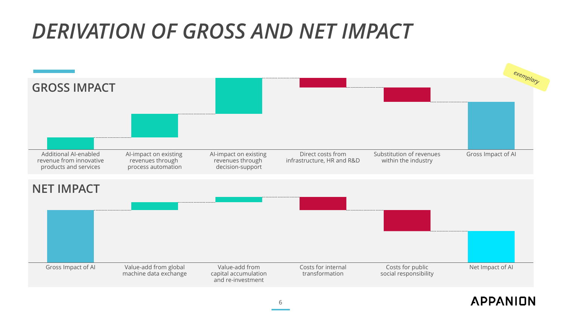# *DERIVATION OF GROSS AND NET IMPACT*

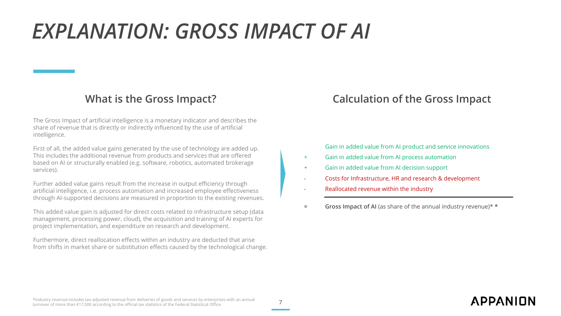# *EXPLANATION: GROSS IMPACT OF AI*

The Gross Impact of artificial intelligence is a monetary indicator and describes the share of revenue that is directly or indirectly influenced by the use of artificial intelligence.

First of all, the added value gains generated by the use of technology are added up. This includes the additional revenue from products and services that are offered based on AI or structurally enabled (e.g. software, robotics, automated brokerage services).

Further added value gains result from the increase in output efficiency through artificial intelligence, i.e. process automation and increased employee effectiveness through AI-supported decisions are measured in proportion to the existing revenues.

This added value gain is adjusted for direct costs related to infrastructure setup (data management, processing power, cloud), the acquisition and training of AI experts for project implementation, and expenditure on research and development.

Furthermore, direct reallocation effects within an industry are deducted that arise from shifts in market share or substitution effects caused by the technological change.

# **What is the Gross Impact? Calculation of the Gross Impact**

Gain in added value from AI product and service innovations

- + Gain in added value from AI process automation
- + Gain in added value from AI decision support
- Costs for Infrastructure, HR and research & development
- Reallocated revenue within the industry
- **= Gross Impact of AI** (as share of the annual industry revenue)\* **\***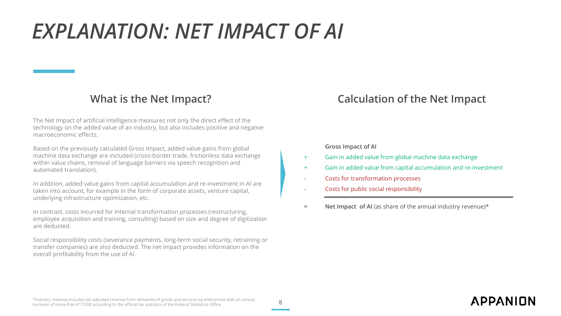# *EXPLANATION: NET IMPACT OF AI*

The Net Impact of artificial intelligence measures not only the direct effect of the technology on the added value of an industry, but also includes positive and negative macroeconomic effects.

Based on the previously calculated Gross Impact, added value gains from global machine data exchange are included (cross-border trade, frictionless data exchange within value chains, removal of language barriers via speech recognition and automated translation).

In addition, added value gains from capital accumulation and re-investment in AI are taken into account, for example in the form of corporate assets, venture capital, underlying infrastructure optimization, etc.

In contrast, costs incurred for internal transformation processes (restructuring, employee acquisition and training, consulting) based on size and degree of digitization are deducted.

Social responsibility costs (severance payments, long-term social security, retraining or transfer companies) are also deducted. The net impact provides information on the overall profitability from the use of AI.

# **What is the Net Impact? Calculation of the Net Impact**

### **Gross Impact of AI**

- + Gain in added value from global machine data exchange
- + Gain in added value from capital accumulation and re-investment
- Costs for transformation processes
- Costs for public social responsibility
- **= Net Impact of AI** (as share of the annual industry revenue)\*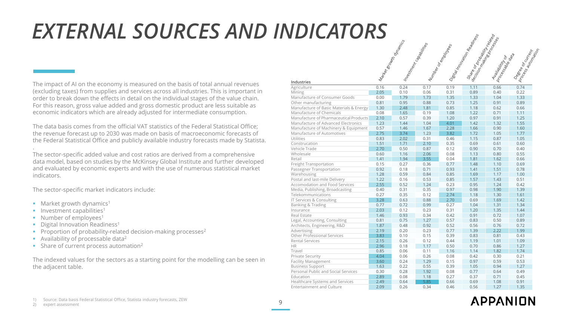# *EXTERNAL SOURCES AND INDICATORS*

The impact of AI on the economy is measured on the basis of total annual revenues (excluding taxes) from supplies and services across all industries. This is important in order to break down the effects in detail on the individual stages of the value chain. For this reason, gross value added and gross domestic product are less suitable as economic indicators which are already adjusted for intermediate consumption.

The data basis comes from the official VAT statistics of the Federal Statistical Office; the revenue forecast up to 2030 was made on basis of macroeconomic forecasts of the Federal Statistical Office and publicly available industry forecasts made by Statista.

. The sector-specific added value and cost ratios are derived from a comprehensive data model, based on studies by the McKinsey Global Institute and further developed and evaluated by economic experts and with the use of numerous statistical market indicators.

The sector-specific market indicators include:

- **■** Market growth dynamics<sup>1</sup>
- **·** Investment capabilities<sup>1</sup>
- Number of employees<sup>1</sup>
- **•** Digital Innovation Readiness<sup>1</sup>
- **•** Proportion of probability-related decision-making processes<sup>2</sup>
- **■** Availability of processable data<sup>2</sup>
- Share of current process automation<sup>2</sup>

The indexed values for the sectors as a starting point for the modelling can be seen in the adjacent table.

|                                         | Mark | Intres | Num  | Dieder | Syerics | A-19  |         |
|-----------------------------------------|------|--------|------|--------|---------|-------|---------|
| Industries                              |      |        |      |        |         | Proce | Deed Ce |
| Agriculture                             | 0.16 | 0.24   | 0.17 | 0.19   | 1.11    | 0.66  | 0.74    |
| Mining                                  | 2.05 | 0.10   | 0.06 | 0.31   | 0.89    | 0.40  | 0.22    |
| Manufacture of Consumer Goods           | 0.00 | 1.79   | 1.73 | 1.35   | 1.33    | 1.04  | 1.33    |
| Other manufacturing                     | 0.81 | 0.95   | 0.88 | 0.73   | 1.25    | 0.91  | 0.89    |
| Manufacture of Basic Materials & Energy | 1.30 | 2.48   | 1.81 | 0.85   | 1.18    | 0.62  | 0.66    |
| Manufacture of Chemicals                | 0.08 | 1.65   | 0.19 | 1.08   | 1.22    | 0.71  | 1.11    |
| Manufacture of Pharmaceutical Products  | 2.10 | 0.57   | 0.39 | 1.20   | 0.97    | 0.91  | 1.25    |
| Manufacture of Advanced Electronics     | 1.23 | 1.44   | 1.04 | 4.01   | 1.42    | 1.32  | 1.55    |
| Manufacture of Machinery & Equipment    | 0.57 | 1.46   | 1.67 | 2.28   | 1.66    | 0.90  | 1.60    |
| Manufacture of Automotives              | 2.75 | 3.74   | 1.23 | 3.82   | 1.72    | 1.05  | 1.77    |
| Utilities                               | 0.83 | 2.02   | 0.31 | 0.46   | 1.15    | 0.87  | 1.05    |
| Construcation                           | 1.51 | 1.71   | 2.10 | 0.35   | 0.69    | 0.61  | 0.60    |
| Vehicle Trade                           | 2.70 | 0.50   | 0.87 | 0.12   | 0.90    | 0.70  | 0.40    |
| Wholesale                               | 0.60 | 1.16   | 2.06 | 0.08   | 1.13    | 0.80  | 0.55    |
| Retail                                  | 1.41 | 1.94   | 3.55 | 0.04   | 1.81    | 1.62  | 0.66    |
| Freight Transportation                  | 0.15 | 0.27   | 0.36 | 0.77   | 1.48    | 1.10  | 0.69    |
| Passegner Transportation                | 0.92 | 0.18   | 0.71 | 0.93   | 1.41    | 1.51  | 0.78    |
| Warehousing                             | 1.28 | 0.59   | 0.84 | 0.85   | 1.69    | 1.17  | 1.00    |
| Postal and last-mile Delivery           | 1.22 | 0.16   | 0.53 | 0.85   | 1.57    | 1.43  | 0.51    |
| Accomodation and Food Services          | 2.55 | 0.52   | 1.24 | 0.23   | 0.95    | 1.24  | 0.42    |
| Media, Publishing, Broadcasting         | 0.40 | 0.31   | 0.35 | 0.97   | 0.98    | 1.90  | 1.39    |
| Telekommunications                      | 0.27 | 0.35   | 0.12 | 2.74   | 1.18    | 1.30  | 1.61    |
| IT Services & Consulting                | 3.28 | 0.63   | 0.88 | 2.70   | 0.69    | 1.69  | 1.42    |
| Banking & Trading                       | 0.77 | 0.72   | 0.99 | 0.27   | 1.04    | 1.31  | 1.34    |
| Insurance                               | 2.03 | 0.12   | 0.23 | 0.31   | 1.20    | 1.35  | 1.44    |
| Real Estate                             | 1.46 | 0.93   | 0.34 | 0.42   | 0.91    | 0.72  | 1.07    |
| Legal, Accounting, Consulting           | 0.81 | 0.75   | 1.27 | 0.57   | 0.83    | 0.50  | 0.89    |
| Architects, Engineering, R&D            | 1.87 | 0.48   | 0.92 | 0.52   | 0.56    | 0.76  | 0.72    |
| Advertising                             | 2.19 | 0.20   | 0.23 | 0.77   | 1.39    | 2.22  | 1.99    |
| Other Professional Services             | 3.83 | 0.10   | 0.15 | 0.39   | 0.83    | 0.81  | 0.43    |
| <b>Rental Services</b>                  | 2.15 | 0.26   | 0.12 | 0.44   | 1.19    | 1.01  | 1.09    |
| <b>HR</b>                               | 2.96 | 0.18   | 1.17 | 0.50   | 0.70    | 0.86  | 1.27    |
| Travel                                  | 0.85 | 0.06   | 0.11 | 1.16   | 1.14    | 1.82  | 1.74    |
| Private Security                        | 4.04 | 0.06   | 0.26 | 0.08   | 0.42    | 0.30  | 0.21    |
| <b>Facility Management</b>              | 3.60 | 0.24   | 1.29 | 0.15   | 0.97    | 0.59  | 0.53    |
| <b>Business Support</b>                 | 1.63 | 0.22   | 0.55 | 0.39   | 1.05    | 0.94  | 1.27    |
| Personal Public and Social Services     | 0.30 | 0.28   | 1.92 | 0.08   | 0.77    | 0.64  | 0.49    |
| Education                               | 2.89 | 0.08   | 1.18 | 0.27   | 0.37    | 0.71  | 0.45    |
| Healthcare Systems and Services         | 2.49 | 0.64   | 5.85 | 0.66   | 0.69    | 1.08  | 0.91    |
| <b>Entertainment and Culture</b>        | 2.09 | 0.26   | 0.34 | 0.46   | 0.56    | 1.27  | 1.35    |

mentres de Santires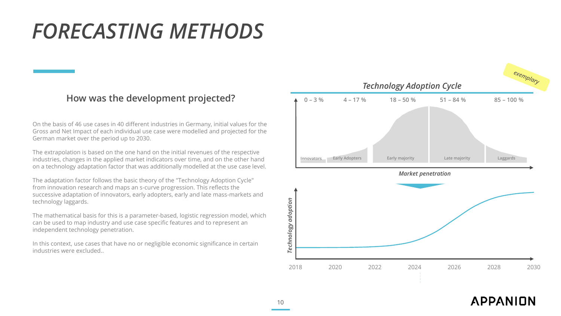# *FORECASTING METHODS*

### **How was the development projected?**

On the basis of 46 use cases in 40 different industries in Germany, initial values for the Gross and Net Impact of each individual use case were modelled and projected for the German market over the period up to 2030.

The extrapolation is based on the one hand on the initial revenues of the respective industries, changes in the applied market indicators over time, and on the other hand on a technology adaptation factor that was additionally modelled at the use case level.

The adaptation factor follows the basic theory of the "Technology Adoption Cycle" from innovation research and maps an s-curve progression. This reflects the successive adaptation of innovators, early adopters, early and late mass-markets and technology laggards.

The mathematical basis for this is a parameter-based, logistic regression model, which can be used to map industry and use case specific features and to represent an independent technology penetration.

In this context, use cases that have no or negligible economic significance in certain industries were excluded..